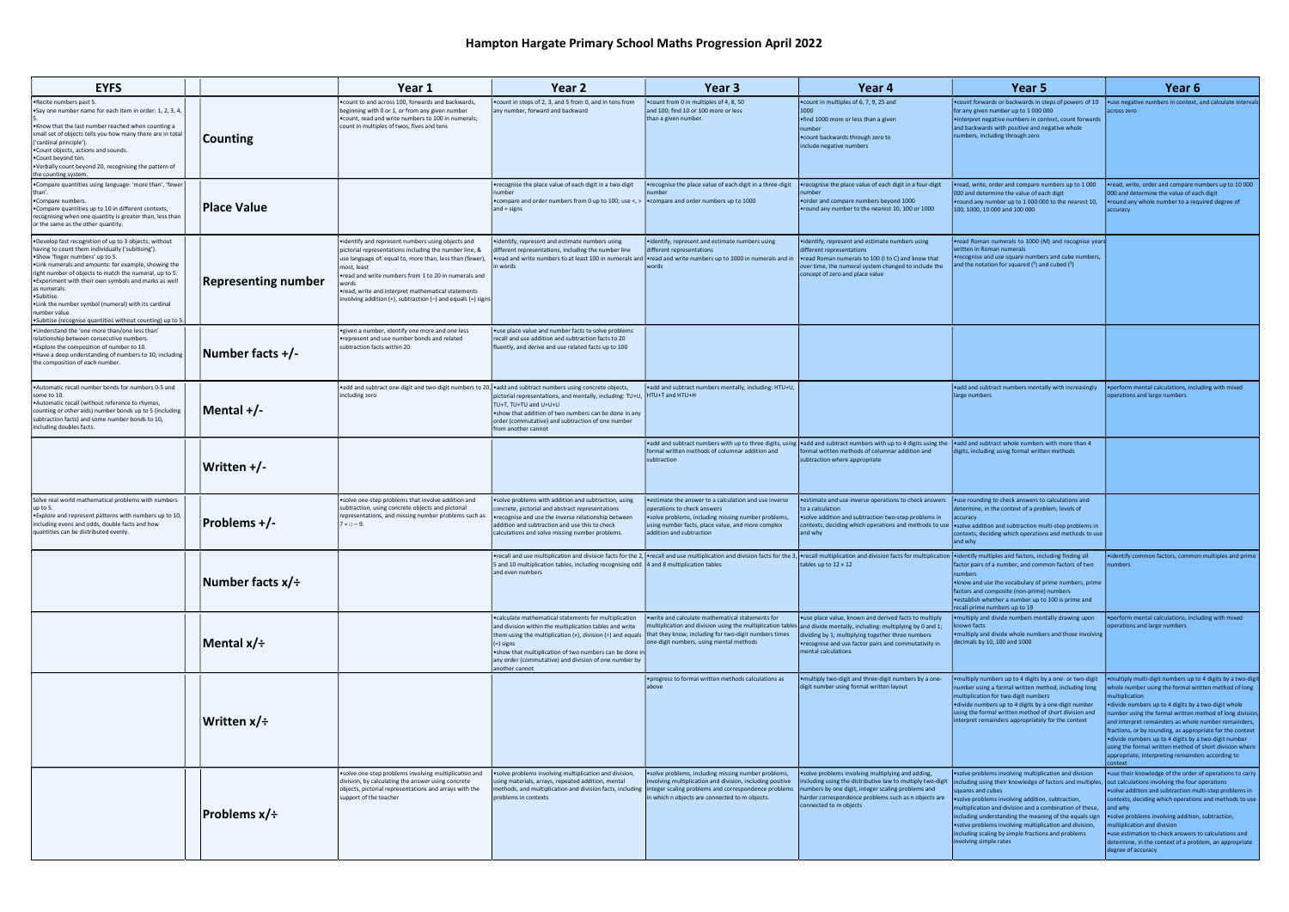| <b>EYFS</b>                                                                                                                                                                                                                                                                                                                                                                                                                                                                                    |                                     | Year 1                                                                                                                                                                                                                                                                                                                                                                      | Year <sub>2</sub>                                                                                                                                                                                                                                                                                                                          | Year 3                                                                                                                                                                                                                                                                       | Year <sub>4</sub>                                                                                                                                                                                                                                                                                                      | Year 5                                                                                                                                                                                                                                                                                                                                                                                                                                                                                                                                                                | Year <sub>6</sub>                                                                                                                                                                                                                                                                                                                                                                                                                                                                                                                                                |
|------------------------------------------------------------------------------------------------------------------------------------------------------------------------------------------------------------------------------------------------------------------------------------------------------------------------------------------------------------------------------------------------------------------------------------------------------------------------------------------------|-------------------------------------|-----------------------------------------------------------------------------------------------------------------------------------------------------------------------------------------------------------------------------------------------------------------------------------------------------------------------------------------------------------------------------|--------------------------------------------------------------------------------------------------------------------------------------------------------------------------------------------------------------------------------------------------------------------------------------------------------------------------------------------|------------------------------------------------------------------------------------------------------------------------------------------------------------------------------------------------------------------------------------------------------------------------------|------------------------------------------------------------------------------------------------------------------------------------------------------------------------------------------------------------------------------------------------------------------------------------------------------------------------|-----------------------------------------------------------------------------------------------------------------------------------------------------------------------------------------------------------------------------------------------------------------------------------------------------------------------------------------------------------------------------------------------------------------------------------------------------------------------------------------------------------------------------------------------------------------------|------------------------------------------------------------------------------------------------------------------------------------------------------------------------------------------------------------------------------------------------------------------------------------------------------------------------------------------------------------------------------------------------------------------------------------------------------------------------------------------------------------------------------------------------------------------|
| Recite numbers past 5.<br>Say one number name for each item in order: 1, 2, 3, 4,<br>Know that the last number reached when counting a<br>small set of objects tells you how many there are in total<br>('cardinal principle').<br>Count objects, actions and sounds.<br>•Count beyond ten.<br>•Verbally count beyond 20, recognising the pattern of<br>the counting system                                                                                                                    | Counting                            | . count to and across 100, forwards and backwards,<br>beginning with 0 or 1, or from any given number<br>.count, read and write numbers to 100 in numerals;<br>count in multiples of twos, fives and tens                                                                                                                                                                   | • count in steps of 2, 3, and 5 from 0, and in tens from<br>any number, forward and backward                                                                                                                                                                                                                                               | . count from 0 in multiples of 4, 8, 50<br>and 100; find 10 or 100 more or less<br>than a given number.                                                                                                                                                                      | . count in multiples of 6, 7, 9, 25 and<br>1000<br>•find 1000 more or less than a given<br>number<br>.count backwards through zero to<br>include negative numbers                                                                                                                                                      | . count forwards or backwards in steps of powers of 10<br>for any given number up to 1 000 000<br>•interpret negative numbers in context, count forwards<br>and backwards with positive and negative whole<br>numbers, including through zero                                                                                                                                                                                                                                                                                                                         | .use negative numbers in context, and calculate intervals<br>across zero                                                                                                                                                                                                                                                                                                                                                                                                                                                                                         |
| •Compare quantities using language: 'more than', 'fewer<br>•Compare numbers.<br>•Compare quantities up to 10 in different contexts,<br>recognising when one quantity is greater than, less than<br>or the same as the other quantity                                                                                                                                                                                                                                                           | Place Value                         |                                                                                                                                                                                                                                                                                                                                                                             | •recognise the place value of each digit in a two-digit<br>number<br>• compare and order numbers from 0 up to 100; use <, >   • compare and order numbers up to 1000<br>$and = signs$                                                                                                                                                      | •recognise the place value of each digit in a three-digit                                                                                                                                                                                                                    | •recognise the place value of each digit in a four-digit<br>order and compare numbers beyond 1000<br>. round any number to the nearest 10, 100 or 1000                                                                                                                                                                 | <b>•read, write, order and compare numbers up to 1 000</b><br>000 and determine the value of each digit<br>.round any number up to 1 000 000 to the nearest 10,<br>100, 1000, 10 000 and 100 000                                                                                                                                                                                                                                                                                                                                                                      | •read, write, order and compare numbers up to 10 000<br>000 and determine the value of each digit<br>• round any whole number to a required degree of<br>accuracy                                                                                                                                                                                                                                                                                                                                                                                                |
| . Develop fast recognition of up to 3 objects, without<br>having to count them individually ('subitising').<br>.Show 'finger numbers' up to 5.<br>. Link numerals and amounts: for example, showing the<br>right number of objects to match the numeral, up to 5.<br>• Experiment with their own symbols and marks as well<br>as numerals.<br>Subitise.<br>. Link the number symbol (numeral) with its cardinal<br>number value.<br>•Subitise (recognise quantities without counting) up to 5. | <b>Representing number</b>          | •identify and represent numbers using objects and<br>pictorial representations including the number line, &<br>use language of: equal to, more than, less than (fewer),<br>most, least<br>•read and write numbers from 1 to 20 in numerals and<br>•read, write and interpret mathematical statements<br>involving addition $(+)$ , subtraction $(-)$ and equals $(=)$ signs | ·identify, represent and estimate numbers using<br>different representations, including the number line<br>•read and write numbers to at least 100 in numerals and<br>in words                                                                                                                                                             | • identify, represent and estimate numbers using<br>different representations<br>read and write numbers up to 1000 in numerals and in<br>words                                                                                                                               | • identify, represent and estimate numbers using<br>different representations<br>●read Roman numerals to 100 (I to C) and know that<br>over time, the numeral system changed to include the<br>concept of zero and place value                                                                                         | •read Roman numerals to 1000 (M) and recognise years<br>written in Roman numerals<br>•recognise and use square numbers and cube numbers,<br>and the notation for squared $(2)$ and cubed $(3)$                                                                                                                                                                                                                                                                                                                                                                        |                                                                                                                                                                                                                                                                                                                                                                                                                                                                                                                                                                  |
| .Understand the 'one more than/one less than'<br>relationship between consecutive numbers.<br>. Explore the composition of number to 10.<br>• Have a deep understanding of numbers to 10, including<br>the composition of each number.                                                                                                                                                                                                                                                         | Number facts +/-                    | · given a number, identify one more and one less<br>•represent and use number bonds and related<br>subtraction facts within 20                                                                                                                                                                                                                                              | • use place value and number facts to solve problems<br>recall and use addition and subtraction facts to 20<br>fluently, and derive and use related facts up to 100                                                                                                                                                                        |                                                                                                                                                                                                                                                                              |                                                                                                                                                                                                                                                                                                                        |                                                                                                                                                                                                                                                                                                                                                                                                                                                                                                                                                                       |                                                                                                                                                                                                                                                                                                                                                                                                                                                                                                                                                                  |
| Automatic recall number bonds for numbers 0-5 and<br>some to 10.<br>• Automatic recall (without reference to rhymes,<br>counting or other aids) number bonds up to 5 (including<br>subtraction facts) and some number bonds to 10,<br>including doubles facts.                                                                                                                                                                                                                                 | Mental +/-                          | • add and subtract one-digit and two-digit numbers to 20, • add and subtract numbers using concrete objects,<br>including zero                                                                                                                                                                                                                                              | pictorial representations, and mentally, including: TU+U, HTU+T and HTU+H<br>TU+T, TU+TU and U+U+U<br>.show that addition of two numbers can be done in any<br>order (commutative) and subtraction of one number<br>from another cannot                                                                                                    | • add and subtract numbers mentally, including: HTU+U,                                                                                                                                                                                                                       |                                                                                                                                                                                                                                                                                                                        | .add and subtract numbers mentally with increasingly<br>large numbers                                                                                                                                                                                                                                                                                                                                                                                                                                                                                                 | . perform mental calculations, including with mixed<br>operations and large numbers                                                                                                                                                                                                                                                                                                                                                                                                                                                                              |
|                                                                                                                                                                                                                                                                                                                                                                                                                                                                                                | Written +/-                         |                                                                                                                                                                                                                                                                                                                                                                             |                                                                                                                                                                                                                                                                                                                                            | •add and subtract numbers with up to three digits, using  •add and subtract numbers with up to 4 digits using the  •add and subtract whole numbers with more than 4<br>formal written methods of columnar addition and<br>subtraction                                        | formal written methods of columnar addition and<br>subtraction where appropriate                                                                                                                                                                                                                                       | digits, including using formal written methods                                                                                                                                                                                                                                                                                                                                                                                                                                                                                                                        |                                                                                                                                                                                                                                                                                                                                                                                                                                                                                                                                                                  |
| Solve real world mathematical problems with numbers<br>up to 5.<br>. Explore and represent patterns with numbers up to 10,<br>including evens and odds, double facts and how<br>quantities can be distributed evenly.                                                                                                                                                                                                                                                                          | <b>Problems +/-</b>                 | solve one-step problems that involve addition and<br>subtraction, using concrete objects and pictorial<br>representations, and missing number problems such as<br>$7 = 0 - 9$ .                                                                                                                                                                                             | • solve problems with addition and subtraction, using<br>concrete, pictorial and abstract representations<br>•recognise and use the inverse relationship between<br>addition and subtraction and use this to check<br>calculations and solve missing number problems.                                                                      | • estimate the answer to a calculation and use inverse<br>operations to check answers<br>• solve problems, including missing number problems,<br>using number facts, place value, and more complex<br>addition and subtraction                                               | •estimate and use inverse operations to check answers   •use rounding to check answers to calculations and<br>to a calculation<br>• solve addition and subtraction two-step problems in<br>contexts, deciding which operations and methods to use   . solve addition and subtraction multi-step problems in<br>and why | determine, in the context of a problem, levels of<br>accuracy<br>contexts, deciding which operations and methods to use<br>and why                                                                                                                                                                                                                                                                                                                                                                                                                                    |                                                                                                                                                                                                                                                                                                                                                                                                                                                                                                                                                                  |
|                                                                                                                                                                                                                                                                                                                                                                                                                                                                                                | Number facts x/÷                    |                                                                                                                                                                                                                                                                                                                                                                             | 5 and 10 multiplication tables, including recognising odd 4 and 8 multiplication tables<br>and even numbers                                                                                                                                                                                                                                | •recall and use multiplication and division facts for the 2, •recall and use multiplication and division facts for the 3, •recall multiplication and division facts for multiplication and division facts for multiplication a                                               | tables up to $12 \times 12$                                                                                                                                                                                                                                                                                            | factor pairs of a number, and common factors of two<br>numbers<br>. know and use the vocabulary of prime numbers, prime<br>factors and composite (non-prime) numbers<br>establish whether a number up to 100 is prime and<br>recall prime numbers up to 19                                                                                                                                                                                                                                                                                                            | • identify common factors, common multiples and prime<br>numbers                                                                                                                                                                                                                                                                                                                                                                                                                                                                                                 |
|                                                                                                                                                                                                                                                                                                                                                                                                                                                                                                | Mental x/÷                          |                                                                                                                                                                                                                                                                                                                                                                             | . calculate mathematical statements for multiplication<br>and division within the multiplication tables and write<br>them using the multiplication $(x)$ , division $(\div)$ and equals<br>$=$ signs<br>.show that multiplication of two numbers can be done in<br>any order (commutative) and division of one number by<br>another cannot | • write and calculate mathematical statements for<br>multiplication and division using the multiplication tables and divide mentally, including: multiplying by 0 and 1;<br>that they know, including for two-digit numbers times<br>one-digit numbers, using mental methods | •use place value, known and derived facts to multiply<br>dividing by 1; multiplying together three numbers<br>•recognise and use factor pairs and commutativity in<br>mental calculations                                                                                                                              | . multiply and divide numbers mentally drawing upon<br>known facts<br>•multiply and divide whole numbers and those involving<br>decimals by 10, 100 and 1000                                                                                                                                                                                                                                                                                                                                                                                                          | . perform mental calculations, including with mixed<br>operations and large numbers                                                                                                                                                                                                                                                                                                                                                                                                                                                                              |
|                                                                                                                                                                                                                                                                                                                                                                                                                                                                                                | Written x/÷                         |                                                                                                                                                                                                                                                                                                                                                                             |                                                                                                                                                                                                                                                                                                                                            | . progress to formal written methods calculations as<br>labove                                                                                                                                                                                                               | • multiply two-digit and three-digit numbers by a one-<br>digit number using formal written layout                                                                                                                                                                                                                     | •multiply numbers up to 4 digits by a one- or two-digit<br>number using a formal written method, including long<br>multiplication for two-digit numbers<br>• divide numbers up to 4 digits by a one-digit number<br>using the formal written method of short division and<br>interpret remainders appropriately for the context                                                                                                                                                                                                                                       | multiply multi-digit numbers up to 4 digits by a two-digit<br>whole number using the formal written method of long<br>multiplication<br>• divide numbers up to 4 digits by a two-digit whole<br>umber using the formal written method of long division,<br>and interpret remainders as whole number remainders,<br>fractions, or by rounding, as appropriate for the context<br>odivide numbers up to 4 digits by a two-digit number●<br>using the formal written method of short division where<br>appropriate, interpreting remainders according to<br>context |
|                                                                                                                                                                                                                                                                                                                                                                                                                                                                                                | <b>Problems <math>x/\div</math></b> | •solve one-step problems involving multiplication and<br>division, by calculating the answer using concrete<br>objects, pictorial representations and arrays with the<br>support of the teacher                                                                                                                                                                             | ·solve problems involving multiplication and division,<br>using materials, arrays, repeated addition, mental<br>methods, and multiplication and division facts, including<br>problems in contexts                                                                                                                                          | • solve problems, including missing number problems,<br>involving multiplication and division, including positive<br>integer scaling problems and correspondence problems<br>in which n objects are connected to m objects.                                                  | • solve problems involving multiplying and adding,<br>numbers by one digit, integer scaling problems and<br>harder correspondence problems such as n objects are<br>connected to m objects                                                                                                                             | •solve problems involving multiplication and division<br>including using the distributive law to multiply two-digit lincluding using their knowledge of factors and multiples, out calculations involving the four operations<br>squares and cubes<br>•solve problems involving addition, subtraction,<br>multiplication and division and a combination of these,<br>including understanding the meaning of the equals sign<br>•solve problems involving multiplication and division,<br>including scaling by simple fractions and problems<br>involving simple rates | • use their knowledge of the order of operations to carry<br>• solve addition and subtraction multi-step problems in<br>contexts, deciding which operations and methods to use<br>and why<br>• solve problems involving addition, subtraction,<br>nultiplication and division<br>•use estimation to check answers to calculations and<br>determine, in the context of a problem, an appropriate<br>degree of accuracy                                                                                                                                            |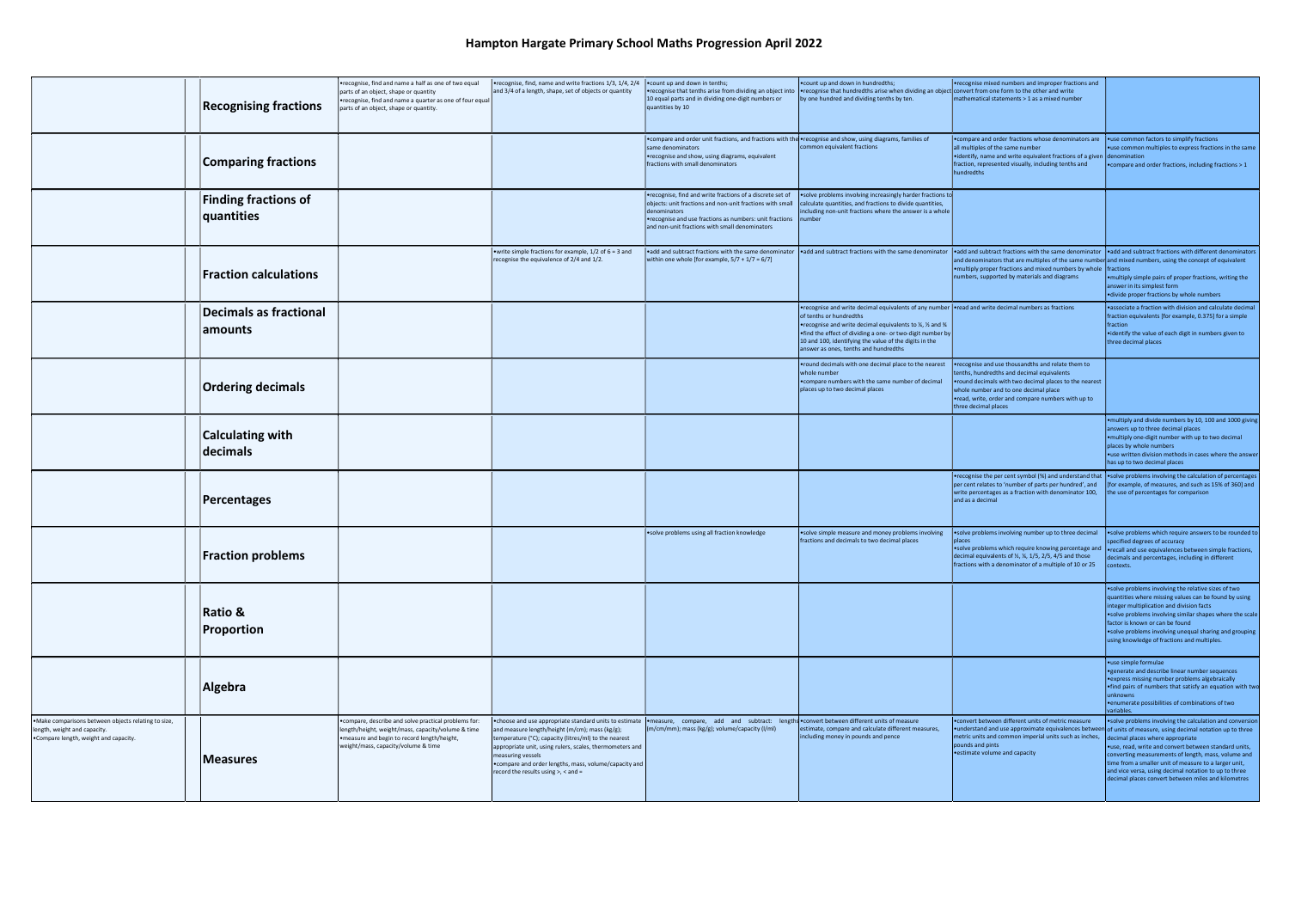## Hampton Hargate Primary School Maths Progression April 2022

|                                                                                                                              | <b>Recognising fractions</b>              | •recognise, find and name a half as one of two equal<br>parts of an object, shape or quantity<br>•recognise, find and name a quarter as one of four equal<br>parts of an object, shape or quantity. | •recognise, find, name and write fractions 1/3, 1/4, 2/4<br>and 3/4 of a length, shape, set of objects or quantity                                                                                                                                                                               | . count up and down in tenths;<br>10 equal parts and in dividing one-digit numbers or<br>quantities by 10                                                                                                                                                   | . count up and down in hundredths;<br>•recognise that tenths arise from dividing an object into  •recognise that hundredths arise when dividing an object convert from one form to the other and write<br>by one hundred and dividing tenths by ten.                                                                                                               | •recognise mixed numbers and improper fractions and<br>mathematical statements > 1 as a mixed number                                                                                                                                                                              |                                                                                                                                                                                                                                                                                                                                                                                                                                                                                                        |
|------------------------------------------------------------------------------------------------------------------------------|-------------------------------------------|-----------------------------------------------------------------------------------------------------------------------------------------------------------------------------------------------------|--------------------------------------------------------------------------------------------------------------------------------------------------------------------------------------------------------------------------------------------------------------------------------------------------|-------------------------------------------------------------------------------------------------------------------------------------------------------------------------------------------------------------------------------------------------------------|--------------------------------------------------------------------------------------------------------------------------------------------------------------------------------------------------------------------------------------------------------------------------------------------------------------------------------------------------------------------|-----------------------------------------------------------------------------------------------------------------------------------------------------------------------------------------------------------------------------------------------------------------------------------|--------------------------------------------------------------------------------------------------------------------------------------------------------------------------------------------------------------------------------------------------------------------------------------------------------------------------------------------------------------------------------------------------------------------------------------------------------------------------------------------------------|
|                                                                                                                              | <b>Comparing fractions</b>                |                                                                                                                                                                                                     |                                                                                                                                                                                                                                                                                                  | • compare and order unit fractions, and fractions with the • recognise and show, using diagrams, families of<br>same denominators<br>•recognise and show, using diagrams, equivalent<br>fractions with small denominators                                   | common equivalent fractions                                                                                                                                                                                                                                                                                                                                        | <b>• compare and order fractions whose denominators are</b><br>all multiples of the same number<br>$\cdot$ identify, name and write equivalent fractions of a given $\cdot$ denomination<br>fraction, represented visually, including tenths and<br>hundredths                    | • use common factors to simplify fractions<br>•use common multiples to express fractions in the same<br>. compare and order fractions, including fractions > 1                                                                                                                                                                                                                                                                                                                                         |
|                                                                                                                              | <b>Finding fractions of</b><br>quantities |                                                                                                                                                                                                     |                                                                                                                                                                                                                                                                                                  | recognise, find and write fractions of a discrete set of<br>objects: unit fractions and non-unit fractions with small<br>denominators<br>•recognise and use fractions as numbers: unit fractions   number<br>and non-unit fractions with small denominators | solve problems involving increasingly harder fractions to<br>calculate quantities, and fractions to divide quantities,<br>including non-unit fractions where the answer is a whole                                                                                                                                                                                 |                                                                                                                                                                                                                                                                                   |                                                                                                                                                                                                                                                                                                                                                                                                                                                                                                        |
|                                                                                                                              | <b>Fraction calculations</b>              |                                                                                                                                                                                                     | • write simple fractions for example, $1/2$ of $6 = 3$ and<br>recognise the equivalence of 2/4 and 1/2.                                                                                                                                                                                          | within one whole [for example, $5/7 + 1/7 = 6/7$ ]                                                                                                                                                                                                          | •add and subtract fractions with the same denominator  •add and subtract fractions with the same denominator  •add and subtract fractions with the same denominator  •add and subtract fractions with different denominators                                                                                                                                       | and denominators that are multiples of the same number and mixed numbers, using the concept of equivalent<br>. multiply proper fractions and mixed numbers by whole   fractions<br>numbers, supported by materials and diagrams                                                   | . multiply simple pairs of proper fractions, writing the<br>answer in its simplest form<br>·divide proper fractions by whole numbers                                                                                                                                                                                                                                                                                                                                                                   |
|                                                                                                                              | Decimals as fractional<br>amounts         |                                                                                                                                                                                                     |                                                                                                                                                                                                                                                                                                  |                                                                                                                                                                                                                                                             | •recognise and write decimal equivalents of any number   •read and write decimal numbers as fractions<br>of tenths or hundredths<br>•recognise and write decimal equivalents to 1/4, 1/2 and 3/4<br>. find the effect of dividing a one- or two-digit number by<br>10 and 100, identifying the value of the digits in the<br>answer as ones, tenths and hundredths |                                                                                                                                                                                                                                                                                   | . associate a fraction with division and calculate decimal<br>fraction equivalents [for example, 0.375] for a simple<br>  fraction<br>• identify the value of each digit in numbers given to<br>three decimal places                                                                                                                                                                                                                                                                                   |
|                                                                                                                              | <b>Ordering decimals</b>                  |                                                                                                                                                                                                     |                                                                                                                                                                                                                                                                                                  |                                                                                                                                                                                                                                                             | • round decimals with one decimal place to the nearest<br>whole number<br>• compare numbers with the same number of decimal<br>places up to two decimal places                                                                                                                                                                                                     | •recognise and use thousandths and relate them to<br>tenths, hundredths and decimal equivalents<br>• round decimals with two decimal places to the nearest<br>whole number and to one decimal place<br>oread, write, order and compare numbers with up to<br>three decimal places |                                                                                                                                                                                                                                                                                                                                                                                                                                                                                                        |
|                                                                                                                              | <b>Calculating with</b><br>decimals       |                                                                                                                                                                                                     |                                                                                                                                                                                                                                                                                                  |                                                                                                                                                                                                                                                             |                                                                                                                                                                                                                                                                                                                                                                    |                                                                                                                                                                                                                                                                                   | . multiply and divide numbers by 10, 100 and 1000 giving<br>answers up to three decimal places<br>• multiply one-digit number with up to two decimal<br>places by whole numbers<br>.use written division methods in cases where the answer<br>has up to two decimal places                                                                                                                                                                                                                             |
|                                                                                                                              | Percentages                               |                                                                                                                                                                                                     |                                                                                                                                                                                                                                                                                                  |                                                                                                                                                                                                                                                             |                                                                                                                                                                                                                                                                                                                                                                    | per cent relates to 'number of parts per hundred', and<br>write percentages as a fraction with denominator 100,<br>and as a decimal                                                                                                                                               | •recognise the per cent symbol (%) and understand that •solve problems involving the calculation of percentages<br>[for example, of measures, and such as 15% of 360] and<br>the use of percentages for comparison                                                                                                                                                                                                                                                                                     |
|                                                                                                                              | <b>Fraction problems</b>                  |                                                                                                                                                                                                     |                                                                                                                                                                                                                                                                                                  | • solve problems using all fraction knowledge                                                                                                                                                                                                               | • solve simple measure and money problems involving<br>fractions and decimals to two decimal places                                                                                                                                                                                                                                                                | • solve problems involving number up to three decimal<br>places<br>solve problems which require knowing percentage and<br>decimal equivalents of 1/2, 1/4, 1/5, 2/5, 4/5 and those<br>fractions with a denominator of a multiple of 10 or 25 $\cdot$ contexts                     | • solve problems which require answers to be rounded to<br>pecified degrees of accuracy<br>• recall and use equivalences between simple fractions,<br>decimals and percentages, including in different                                                                                                                                                                                                                                                                                                 |
|                                                                                                                              | <b>Ratio &amp;</b><br>Proportion          |                                                                                                                                                                                                     |                                                                                                                                                                                                                                                                                                  |                                                                                                                                                                                                                                                             |                                                                                                                                                                                                                                                                                                                                                                    |                                                                                                                                                                                                                                                                                   | • solve problems involving the relative sizes of two<br>quantities where missing values can be found by using<br>integer multiplication and division facts<br>.solve problems involving similar shapes where the scale<br>factor is known or can be found<br>• solve problems involving unequal sharing and grouping<br>using knowledge of fractions and multiples.                                                                                                                                    |
|                                                                                                                              | Algebra                                   |                                                                                                                                                                                                     |                                                                                                                                                                                                                                                                                                  |                                                                                                                                                                                                                                                             |                                                                                                                                                                                                                                                                                                                                                                    |                                                                                                                                                                                                                                                                                   | • use simple formulae<br>• generate and describe linear number sequences<br>express missing number problems algebraically<br>. find pairs of numbers that satisfy an equation with two<br>unknowns<br>• enumerate possibilities of combinations of two<br>variables.                                                                                                                                                                                                                                   |
| .Make comparisons between objects relating to size,<br>length, weight and capacity.<br>.Compare length, weight and capacity. | Measures                                  | • compare, describe and solve practical problems for:<br>length/height, weight/mass, capacity/volume & time<br>measure and begin to record length/height,<br>weight/mass, capacity/volume & time    | and measure length/height (m/cm); mass (kg/g);<br>temperature (°C); capacity (litres/ml) to the nearest<br>appropriate unit, using rulers, scales, thermometers and<br>measuring vessels<br>• compare and order lengths, mass, volume/capacity and<br>record the results using $>$ , $<$ and $=$ | •choose and use appropriate standard units to estimate •measure, compare, add and subtract: lengths •convert between different units of measure<br>(m/cm/mm); mass (kg/g); volume/capacity (l/ml)                                                           | estimate, compare and calculate different measures,<br>including money in pounds and pence                                                                                                                                                                                                                                                                         | . convert between different units of metric measure<br>metric units and common imperial units such as inches,<br>pounds and pints<br>• estimate volume and capacity                                                                                                               | .solve problems involving the calculation and conversion<br>• understand and use approximate equivalences between of units of measure, using decimal notation up to three<br>decimal places where appropriate<br>•use, read, write and convert between standard units,<br>converting measurements of length, mass, volume and<br>time from a smaller unit of measure to a larger unit,<br>and vice versa, using decimal notation to up to three<br>decimal places convert between miles and kilometres |